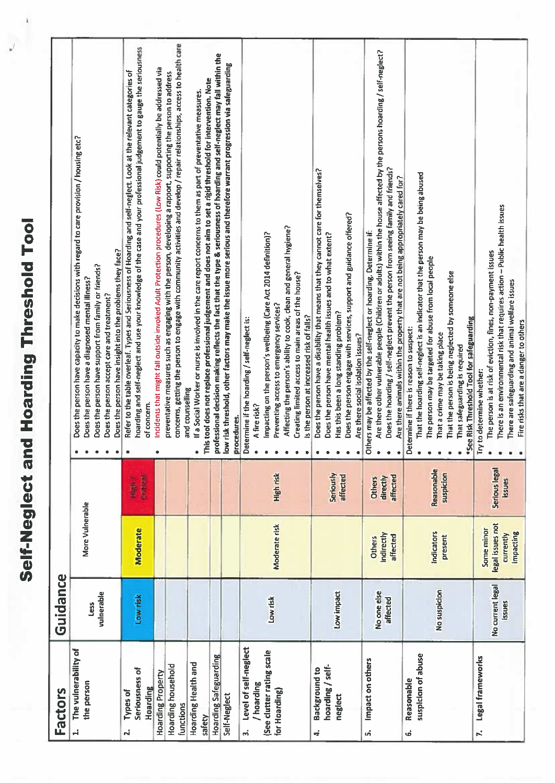|                                                                                        |                            | Self-Neglect a                                           |                                       | nd Hoarding Threshold Tool                                                                                                                                                                                                                                                                                                                                                    |
|----------------------------------------------------------------------------------------|----------------------------|----------------------------------------------------------|---------------------------------------|-------------------------------------------------------------------------------------------------------------------------------------------------------------------------------------------------------------------------------------------------------------------------------------------------------------------------------------------------------------------------------|
| <b>Factors</b>                                                                         | Guidance                   |                                                          |                                       |                                                                                                                                                                                                                                                                                                                                                                               |
| The vulnerability of<br>the person<br>H                                                | vulnerable<br>Less         | More Vulnerable                                          |                                       | Does the person have capacity to make decisions with regard to care provision / housing etc?<br>Does the person have insight into the problems they face?<br>Does the person have support from family or friends?<br>Does the person have a diagnosed mental illness?<br>Does the person accept care and treatment?                                                           |
| Seriousness of<br>Hoarding<br><b>Types of</b><br>$\vec{r}$                             | Low risk                   | <b>Moderate</b>                                          | Critical<br>High /                    | hoarding and self-neglect and use your knowledge of the case and your professional judgement to gauge the seriousness<br>Refer to the table overleaf. Types and Seriousness of Hoarding and self-neglect. Look at the relevant categories of<br>of concern.<br>۰                                                                                                              |
| Hoarding household<br>Hoarding Property<br>functions                                   |                            |                                                          |                                       | concerns, getting the person to engage with community activities and develop / repair relationships, access to health care<br>Incidents that might fall outside invoked Adult Protection procedures (Low Risk) could potentially be addressed via<br>preventative measures such as engaging with the person, developing a rapport, supporting the person to address           |
| Hoarding Health and<br>safety                                                          |                            |                                                          |                                       | This tool does not replace professional judgement and does not aim to set a rigid threshold for intervention. Note<br>If a Social Worker or nurse is involved in the care report concerns to them as part of preventative measures.<br>and counselling                                                                                                                        |
| <b>Hoarding Safeguarding</b><br>Self-Neglect                                           |                            |                                                          |                                       | professional decision making reflects the fact that the type & seriousness of hoarding and self-neglect may fall within the<br>low risk threshold, other factors may make the issue more serious and therefore warrant progression via safeguarding<br>procedures.                                                                                                            |
| Level of self-neglect<br>(See clutter rating scale<br>/ hoarding<br>for Hoarding)<br>m | Low risk                   | Moderate risk                                            | High risk                             | Affecting the person's ability to cook, clean and general hygiene?<br>Impacting on the person's wellbeing (Care Act 2014 definition)?<br>Creating limited access to main areas of the house?<br>Preventing access to emergency services?<br>Is the person at increased risk of falls?<br>Determine if the hoarding / self-neglect is:<br>A fire risk?                         |
| hoarding / self-<br><b>Background to</b><br>neglect<br>4                               | Low impact                 |                                                          | Seriously<br>affected                 | Does the person have a disability that means that they cannot care for themselves?<br>Does the person engage with services, support and guidance offered?<br>Does the person have mental health issues and to what extent?<br>Has this been a long standing problem?<br>Are there social isolation issues?                                                                    |
| Impact on others<br>ທ່                                                                 | No one else<br>affected    | indirectly<br>affected<br><b>Others</b>                  | affected<br>directly<br><b>Others</b> | Are there other vulnerable people (Children or adults) within the house affected by the persons hoarding / self-neglect?<br>Does the hoarding / self-neglect prevent the person from seeing family and friends?<br>Are there animals within the property that are not being appropriately cared for?<br>Others may be affected by the self-neglect or hoarding. Determine if: |
| suspicion of abuse<br>Reasonable<br>Ġ,                                                 | No suspicion               | Indicators<br>present                                    | Reasonable<br>suspicion               | That the hoarding self-neglect is an indicator that the person may be being abused<br>The person may be targeted for abuse from local people<br>That the person is being neglected by someone else<br>*See Risk Threshold Tool for safeguarding<br>Determine if there is reason to suspect:<br>That a crime may be taking place<br>That safeguarding is required              |
| Legal frameworks<br>N,                                                                 | No current legal<br>issues | legal issues not<br>Some minor<br>impacting<br>currently | Serious legal<br>sanss                | There is an environmental risk that requires action - Public health issues<br>The person is at risk of eviction, fines, non-payment issues<br>There are safeguarding and animal welfare issues<br>Fire risks that are a danger to others<br>Try to determine whether:                                                                                                         |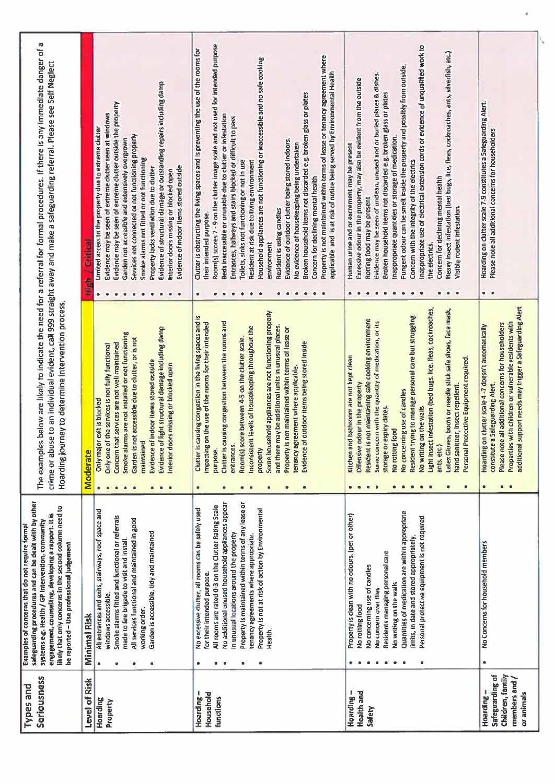| The examples below are likely to indicate the need for a referral for formal procedures. If there is any immediate danger of a<br>crime or abuse to an individual evident, call 999 straight away and make a safeguarding referral. Please see Self Neglect                                                                 | Critical<br>á        | Evidence of structural damage or outstanding repairs including damp<br>Evidence may be seen of extreme clutter outside the property<br>Evidence may be seen of extreme clutter seen at windows<br>Limited access to the property due to extreme clutter<br>Services not connected or not functioning properly<br>Garden not accessible and extensively overgrown<br>Smoke alarms not fitted or not functioning<br>Evidence of indoor items stored outside<br>Property lacks ventilation due to clutter<br>Interior doors missing or blocked open<br>٠ | Room(s) scores 7 - 9 on the clutter image scale and not used for intended purpose<br>Clutter is obstructing the living spaces and is preventing the use of the rooms for<br>Property is not maintained within terms of lease or tenancy agreement where<br>Household appliances are not functioning or inaccessible and no safe cooking<br>applicable and is at risk of notice being served by Environmental Health<br>Broken household items not discarded e.g. broken glass or plates<br>Beds inaccessible or unusable due to clutter or infestation<br>Entrances, hallways and stairs blocked or difficult to pass<br>Evidence of outdoor clutter being stored indoors.<br>No evidence of housekeeping being undertaken<br>Toilets, sinks not functioning or not in use<br>Resident at risk due to living environment<br>Concern for declining mental health<br>Resident is using candles<br>their intended purpose<br>environment<br>$\bullet$<br>٠<br>$\bullet$<br>۰<br>۰ | inappropriate use of electrical extension cords or evidence of unqualified work to<br>Heavy insect infestation (bed bugs, lice, fleas, cockroaches, ants, silverfish, etc.)<br>Pungent odour can be smelt inside the property and possibly from outside<br>Evidence may be seen of unclean, unused and or buried plates & dishes.<br>Excessive odour in the property, may also be evident from the outside<br>Broken household items not discarded e.g. broken glass or plates<br>Inappropriate quantities or storage of medication.<br>Human urine and or excrement may be present<br>Concern with the integrity of the electrics<br>Concern for declining mental health<br>Rotting food may be present<br>Visible rodent infestation<br>the electrics.<br>٠<br>$\bullet$<br>۰<br>٠<br>$\bullet$ | Hoarding on clutter scale 7-9 constitutes a Safeguarding Alert.<br>Please note all additional concerns for householders<br>$\bullet$                                                                                                                                                                 |
|-----------------------------------------------------------------------------------------------------------------------------------------------------------------------------------------------------------------------------------------------------------------------------------------------------------------------------|----------------------|-------------------------------------------------------------------------------------------------------------------------------------------------------------------------------------------------------------------------------------------------------------------------------------------------------------------------------------------------------------------------------------------------------------------------------------------------------------------------------------------------------------------------------------------------------|--------------------------------------------------------------------------------------------------------------------------------------------------------------------------------------------------------------------------------------------------------------------------------------------------------------------------------------------------------------------------------------------------------------------------------------------------------------------------------------------------------------------------------------------------------------------------------------------------------------------------------------------------------------------------------------------------------------------------------------------------------------------------------------------------------------------------------------------------------------------------------------------------------------------------------------------------------------------------------|---------------------------------------------------------------------------------------------------------------------------------------------------------------------------------------------------------------------------------------------------------------------------------------------------------------------------------------------------------------------------------------------------------------------------------------------------------------------------------------------------------------------------------------------------------------------------------------------------------------------------------------------------------------------------------------------------------------------------------------------------------------------------------------------------|------------------------------------------------------------------------------------------------------------------------------------------------------------------------------------------------------------------------------------------------------------------------------------------------------|
| Hoarding journey to determine intervention process.                                                                                                                                                                                                                                                                         | <b>Moderate</b>      | Evidence of light structural damage including damp<br>Smoke alarms are not installed or not functioning<br>is not accessible due to clutter, or is not<br>Concern that services are not well maintained<br>Only one of the services is not fully functional<br>Evidence of indoor items stored outside<br>doors missing or blocked open<br>Only major exit is blocked<br>maintained<br>Garden<br>Interior<br>$\bullet$                                                                                                                                | Some household appliances are not functioning properly<br>is causing congestion in the living spaces and is<br>Clutter is causing congestion between the rooms and<br>impacting on the use of the rooms for their intended<br>and there may be additional units in unusual places.<br>Inconsistent levels of housekeeping throughout the<br>Property is not maintained within terms of lease or<br>Room(s) score between 4-5 on the clutter scale<br>Evidence of outdoor items being stored inside<br>tenancy agreement where applicable.<br>entrances.<br>purpose<br>propert<br>Clutter<br>$\bullet$<br>$\bullet$<br>$\bullet$<br>$\bullet$<br>۰<br>٠<br>$\bullet$                                                                                                                                                                                                                                                                                                            | Light insect infestation (bed bugs, lice, fleas, cockroaches,<br>Latex Gloves, boots or needle stick safe shoes, face mask,<br>Resident trying to manage personal care but struggling<br>Resident is not maintaining safe cooking environment<br>Some concern with the quantity of medication, or its<br>and bathroom are not kept clean<br>Personal Protective Equipment required.<br>Offensive odour in the property<br>hand sanitizer, insect repellent<br>No concerning use of candles<br>storage or expiry dates.<br>No writing on the walls<br>No ratting food<br>ants, etc.)<br>Kitchen<br>$\bullet$<br>$\bullet$<br>$\bullet$<br>$\bullet$<br>$\qquad \qquad \bullet$<br>$\bullet$<br>$\bullet$                                                                                           | additional support needs may trigger a Safeguarding Alert<br>Properties with children or vulnerable residents with<br>Please note all additional concerns for householders<br>Hoarding on clutter scale 4 -7 doesn't automatically<br>constitute a Safeguarding Alert.<br>٠<br>$\bullet\quad\bullet$ |
| safeguarding procedures and can be dealt with by other<br>likely that only concerns in the second column need to<br>engagement, counselling, developing a rapport. It is<br>systems e.g. Health / GP intervention, community<br>Examples of concerns that do not require formal<br>be reported - Use professional judgement | Minimal Risk         | All entrances and exits, stairways, roof space and<br>Smoke alarms fitted and functional or referrals<br>All services functional and maintained in good<br>Garden is accessible, tidy and maintained<br>made to fire brigade to visit and install.<br>windows accessible<br>working order.<br>$\bullet$<br>۰                                                                                                                                                                                                                                          | No additional unused household appliances appear<br>Property is maintained within terms of any lease or<br>All rooms are rated 0-3 on the Clutter Rating Scale<br>No excessive clutter, all rooms can be safely used<br>Property is not at risk of action by Environmental<br>in unusual locations around the property<br>tenancy agreements where appropriate<br>for their intended purpose.<br>Health.<br>٠<br>$\bullet$<br>٠<br>۰                                                                                                                                                                                                                                                                                                                                                                                                                                                                                                                                           | Quantities of medication are within appropriate<br>Property is clean with no odours, (pet or other)<br>Personal protective equipment is not required<br>limits, in date and stored appropriately.<br>Residents managing personal care<br>No concerning use of candles<br>No writing on the walls<br>No concern over flies<br>No rotting food<br>۰                                                                                                                                                                                                                                                                                                                                                                                                                                                 | No Concerns for household members                                                                                                                                                                                                                                                                    |
| Seriousness<br>Types and                                                                                                                                                                                                                                                                                                    | <b>Level of Risk</b> | Hoarding<br>Property                                                                                                                                                                                                                                                                                                                                                                                                                                                                                                                                  | Hoarding-<br>Household<br>functions                                                                                                                                                                                                                                                                                                                                                                                                                                                                                                                                                                                                                                                                                                                                                                                                                                                                                                                                            | Health and<br>1<br><b>Hoarding</b><br>Safety                                                                                                                                                                                                                                                                                                                                                                                                                                                                                                                                                                                                                                                                                                                                                      | Children, family<br>Safeguarding of<br>members and /<br>Hoarding -<br>or animals                                                                                                                                                                                                                     |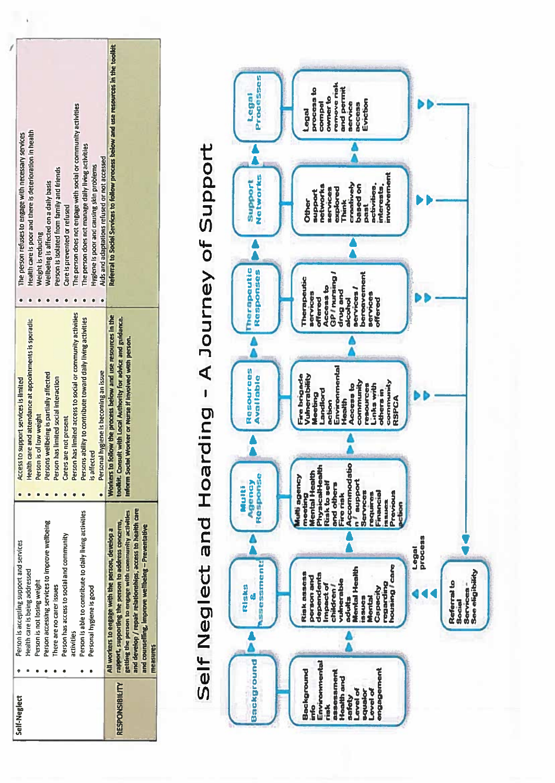| Self-Neglect          | Person is accepting support and services                                                                                                                                                                                                                                                        | Access to support services is limited                                                                                                                                                    |                                                                                       |
|-----------------------|-------------------------------------------------------------------------------------------------------------------------------------------------------------------------------------------------------------------------------------------------------------------------------------------------|------------------------------------------------------------------------------------------------------------------------------------------------------------------------------------------|---------------------------------------------------------------------------------------|
|                       |                                                                                                                                                                                                                                                                                                 |                                                                                                                                                                                          | The person refuses to engage with necessary services                                  |
|                       | Health care is being addressed                                                                                                                                                                                                                                                                  | Health care and attendance at appointments is sporadic                                                                                                                                   | Health care is poor and there is deterioration in health                              |
|                       | Person is not losing weight                                                                                                                                                                                                                                                                     | Person is of low weight                                                                                                                                                                  | Weight is reducing                                                                    |
|                       | Person accessing services to improve wellbeing                                                                                                                                                                                                                                                  | Persons wellbeing is partially affected                                                                                                                                                  | Wellbeing is affected on a daily basis                                                |
|                       | There are no carer issues                                                                                                                                                                                                                                                                       | Person has limited social interaction                                                                                                                                                    | Person is isolated from family and friends                                            |
|                       | Person has access to social and community                                                                                                                                                                                                                                                       | Carers are not present                                                                                                                                                                   | Care is prevented or refused                                                          |
|                       | activities                                                                                                                                                                                                                                                                                      | Person has limited access to social or community activities                                                                                                                              | The person does not engage with social or community activities                        |
|                       | Person is able to contribute to daily living activities                                                                                                                                                                                                                                         | Persons ability to contribute toward daily living activities                                                                                                                             | The person does not manage daily living activities                                    |
|                       | Personal hygiene is good                                                                                                                                                                                                                                                                        | is affecter                                                                                                                                                                              | Hygiene is poor and causing skin problems                                             |
|                       |                                                                                                                                                                                                                                                                                                 | Personal hygiene is becoming an issue                                                                                                                                                    | Aids and adaptations refused or not accessed                                          |
| <b>RESPONSIBILITY</b> | and develop / repair relationships, access to health care<br>getting the person to engage with community activities<br>rapport, supporting the person to address concerns,<br>and counselling, improve wellbeing - Preventative<br>All workers to engage with the person, develop a<br>measures | Workers to follow the process below and use resources in the<br>toolkit. Consult with Local Authority for advice and guidance.<br>Inform Social Worker or Nurse if involved with person. | Referral to Social Services to follow process below and use resources in the toollift |

## Self Neglect and Hoarding - A Journey of Support

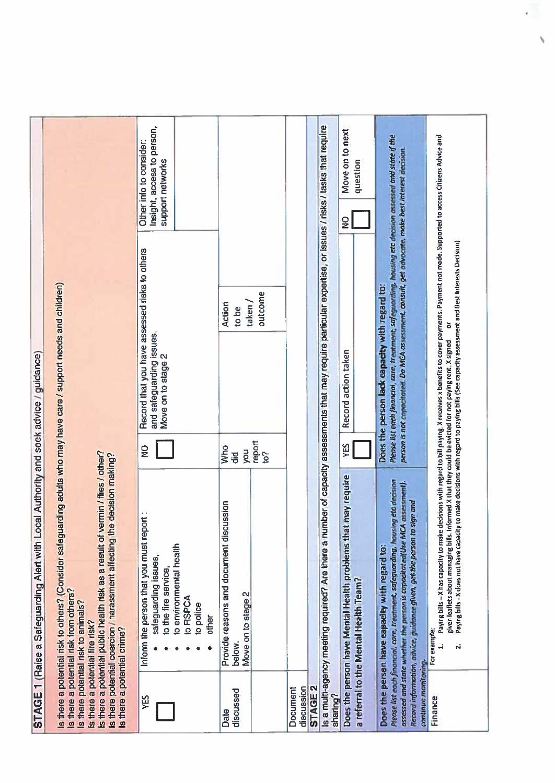| STAGE 1 (Raise a Safeguarding Alert with Local Authority and seek advice / guidance) | Is there a potential risk to others? (Consider safeguarding adults who may have care / support needs and children)<br>le decision making?                                                                                                                                                   | Insight, access to person,<br>Other info to consider:<br>support networks<br>Record that you have assessed risks to others<br>and safeguarding issues.<br>Move on to stage 2<br>$\frac{1}{2}$ | outcome<br>$t$ aken<br>Action<br>to be<br>report<br>to?<br><b>Who</b><br>you<br>$\ddot{\vec{v}}$ |                                          | Is a multi-agency meeting required? Are there a number of capacity assessments that may require particular expertise, or issues / risks / tasks that require | Move on to next<br>question<br>ၟႍ<br>Record action taken<br>YES                                       | Please list each financial, sare, treatment, safeguarding, housing eta decision assessed and state if the<br>person is not coppointed. Do MCA assessment, consult, get advocate, make best interest decision.<br>Does the person lack capacity with regard to:                          |                                                                                                                                                                                                                 |
|--------------------------------------------------------------------------------------|---------------------------------------------------------------------------------------------------------------------------------------------------------------------------------------------------------------------------------------------------------------------------------------------|-----------------------------------------------------------------------------------------------------------------------------------------------------------------------------------------------|--------------------------------------------------------------------------------------------------|------------------------------------------|--------------------------------------------------------------------------------------------------------------------------------------------------------------|-------------------------------------------------------------------------------------------------------|-----------------------------------------------------------------------------------------------------------------------------------------------------------------------------------------------------------------------------------------------------------------------------------------|-----------------------------------------------------------------------------------------------------------------------------------------------------------------------------------------------------------------|
|                                                                                      | is there a potential public health risk as a result of vermin / files / other?<br>Is there potential coercion / harassment affecting the<br>Is there a potential risk from others?<br>Is there potential risk to animals?<br>Is there a potential fire risk?<br>Is there a potential crime? | Inform the person that you must report :<br>to environmental health<br>safeguarding issues,<br>to the fire service,<br>to RSPCA<br>to police<br>other                                         | Provide reasons and document discussion<br>Move on to stage 2<br>below.                          |                                          |                                                                                                                                                              | Does the person have Mental Health problems that may require<br>a referral to the Mental Health Team? | Please list each financial, care, treatment, safeguarding, housing eta decision<br>assessed and state whether the person is capacitated(Use MCA assessment).<br>Record information, advice, guidance given, get the person to sign and<br>Does the person have capacity with regard to: | decisions with regard to bill paying. X receives x benefits to cover payments. Payment not made. Supported to access Citizens Advice and<br>Paying bills - X has capacity to make<br>For example:<br>$\ddot{ }$ |
|                                                                                      |                                                                                                                                                                                                                                                                                             | УËS                                                                                                                                                                                           | discussed<br>Date                                                                                | <b>STAGE 2</b><br>discussion<br>Document | sharing?                                                                                                                                                     |                                                                                                       | continue monitoring.                                                                                                                                                                                                                                                                    | Finance                                                                                                                                                                                                         |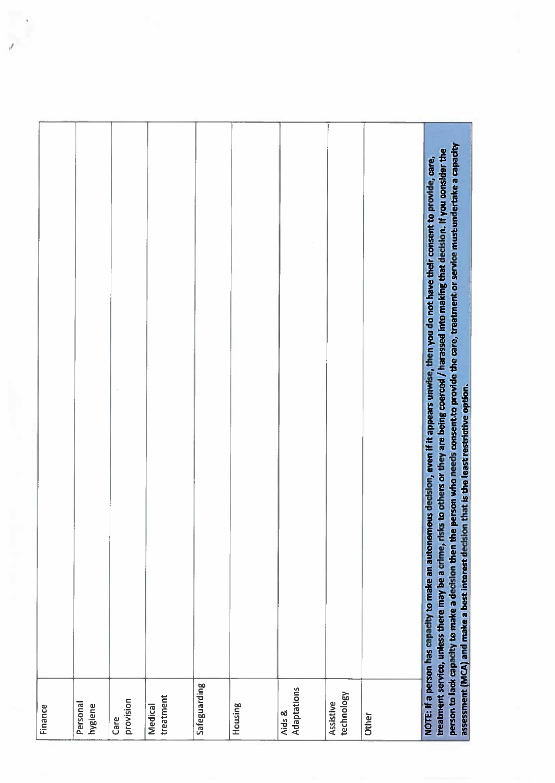| Finance                 |                                                                                                                                                                                                                                                                                                                                                                                                                                                                                                                                                         |
|-------------------------|---------------------------------------------------------------------------------------------------------------------------------------------------------------------------------------------------------------------------------------------------------------------------------------------------------------------------------------------------------------------------------------------------------------------------------------------------------------------------------------------------------------------------------------------------------|
| Personal<br>hygiene     |                                                                                                                                                                                                                                                                                                                                                                                                                                                                                                                                                         |
| provision<br>Care       |                                                                                                                                                                                                                                                                                                                                                                                                                                                                                                                                                         |
| treatment<br>Medical    |                                                                                                                                                                                                                                                                                                                                                                                                                                                                                                                                                         |
| Safeguarding            |                                                                                                                                                                                                                                                                                                                                                                                                                                                                                                                                                         |
| Housing                 |                                                                                                                                                                                                                                                                                                                                                                                                                                                                                                                                                         |
| Adaptations<br>Aids &   |                                                                                                                                                                                                                                                                                                                                                                                                                                                                                                                                                         |
| technology<br>Assistive |                                                                                                                                                                                                                                                                                                                                                                                                                                                                                                                                                         |
| Other                   |                                                                                                                                                                                                                                                                                                                                                                                                                                                                                                                                                         |
|                         | the person who needs consent to provide the care, treatment or service mustumdertake a capacity<br>treatment service, unless there may be a crime, risks to others or they are being coerced / harassed into making that decision. If you consider the<br>NOTE: If a person has capacity to make an autonomous decision, even if it appears unwise, then you do not have their consent to provide, care,<br>assessment (MCA) and make a best interest decision that is the least restrictive option.<br>person to lack capacity to make a decision then |